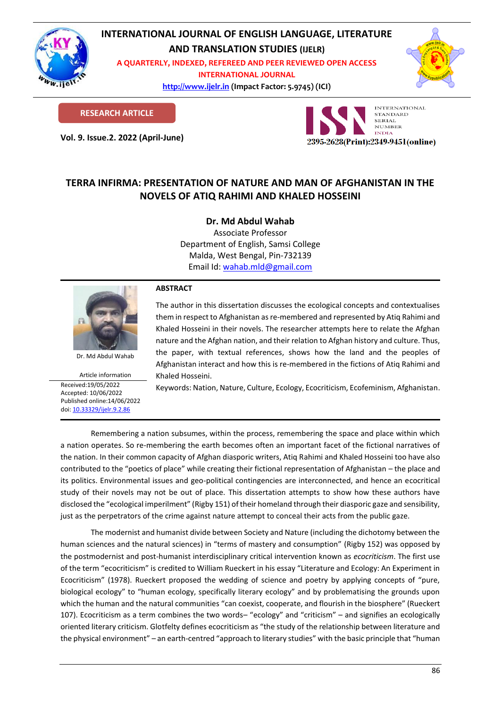

# **INTERNATIONAL JOURNAL OF ENGLISH LANGUAGE, LITERATURE**

**AND TRANSLATION STUDIES (IJELR)**

**A QUARTERLY, INDEXED, REFEREED AND PEER REVIEWED OPEN ACCESS INTERNATIONAL JOURNAL**

> **[http://www.ijelr.in](http://www.ijelr.in/) (Impact Factor: 5.9745) (ICI) KY PUBLICATIONS**



**RESEARCH ARTICLE**

**Vol. 9. Issue.2. 2022 (April-June) ARTICLE**



## **TERRA INFIRMA: PRESENTATION OF NATURE AND MAN OF AFGHANISTAN IN THE NOVELS OF ATIQ RAHIMI AND KHALED HOSSEINI**

**Dr. Md Abdul Wahab**

Associate Professor Department of English, Samsi College Malda, West Bengal, Pin-732139 Email Id: [wahab.mld@gmail.com](mailto:wahab.mld@gmail.com)



Dr. Md Abdul Wahab

Article information Received:19/05/2022 Accepted: 10/06/2022 Published online:14/06/2022 [doi: 10.33329/ijelr.9.2.8](http://www.ijelr.in/)6

### **ABSTRACT**

The author in this dissertation discusses the ecological concepts and contextualises them in respect to Afghanistan as re-membered and represented by Atiq Rahimi and Khaled Hosseini in their novels. The researcher attempts here to relate the Afghan nature and the Afghan nation, and their relation to Afghan history and culture. Thus, the paper, with textual references, shows how the land and the peoples of Afghanistan interact and how this is re-membered in the fictions of Atiq Rahimi and Khaled Hosseini.

Keywords: Nation, Nature, Culture, Ecology, Ecocriticism, Ecofeminism, Afghanistan.

Remembering a nation subsumes, within the process, remembering the space and place within which a nation operates. So re-membering the earth becomes often an important facet of the fictional narratives of the nation. In their common capacity of Afghan diasporic writers, Atiq Rahimi and Khaled Hosseini too have also contributed to the "poetics of place" while creating their fictional representation of Afghanistan – the place and its politics. Environmental issues and geo-political contingencies are interconnected, and hence an ecocritical study of their novels may not be out of place. This dissertation attempts to show how these authors have disclosed the "ecological imperilment" (Rigby 151) of their homeland through their diasporic gaze and sensibility, just as the perpetrators of the crime against nature attempt to conceal their acts from the public gaze.

The modernist and humanist divide between Society and Nature (including the dichotomy between the human sciences and the natural sciences) in "terms of mastery and consumption" (Rigby 152) was opposed by the postmodernist and post-humanist interdisciplinary critical intervention known as *ecocriticism*. The first use of the term "ecocriticism" is credited to William Rueckert in his essay "Literature and Ecology: An Experiment in Ecocriticism" (1978). Rueckert proposed the wedding of science and poetry by applying concepts of "pure, biological ecology" to "human ecology, specifically literary ecology" and by problematising the grounds upon which the human and the natural communities "can coexist, cooperate, and flourish in the biosphere" (Rueckert 107). Ecocriticism as a term combines the two words– "ecology" and "criticism" – and signifies an ecologically oriented literary criticism. Glotfelty defines ecocriticism as "the study of the relationship between literature and the physical environment" – an earth-centred "approach to literary studies" with the basic principle that "human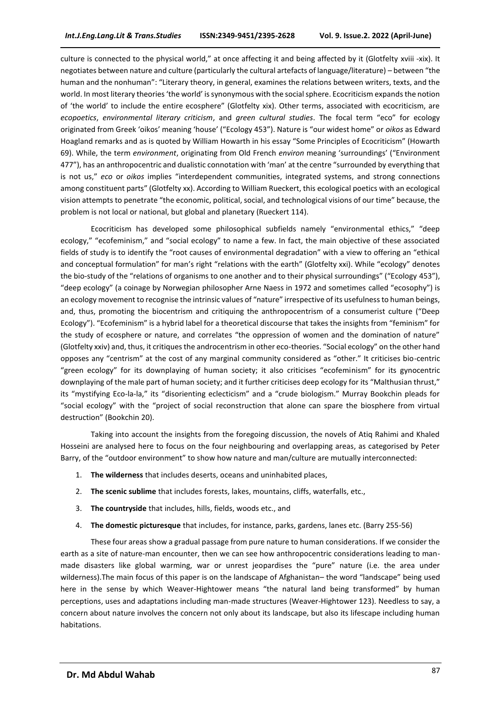culture is connected to the physical world," at once affecting it and being affected by it (Glotfelty xviii -xix). It negotiates between nature and culture (particularly the cultural artefacts of language/literature) – between "the human and the nonhuman": "Literary theory, in general, examines the relations between writers, texts, and the world. In most literary theories 'the world' is synonymous with the social sphere. Ecocriticism expands the notion of 'the world' to include the entire ecosphere" (Glotfelty xix). Other terms, associated with ecocriticism, are *ecopoetics*, *environmental literary criticism*, and *green cultural studies*. The focal term "eco" for ecology originated from Greek 'oikos' meaning 'house' ("Ecology 453"). Nature is "our widest home" or *oikos* as Edward Hoagland remarks and as is quoted by William Howarth in his essay "Some Principles of Ecocriticism" (Howarth 69). While, the term *environment*, originating from Old French *environ* meaning 'surroundings' ("Environment 477"), has an anthropocentric and dualistic connotation with 'man' at the centre "surrounded by everything that is not us," *eco* or *oikos* implies "interdependent communities, integrated systems, and strong connections among constituent parts" (Glotfelty xx). According to William Rueckert, this ecological poetics with an ecological vision attempts to penetrate "the economic, political, social, and technological visions of our time" because, the problem is not local or national, but global and planetary (Rueckert 114).

Ecocriticism has developed some philosophical subfields namely "environmental ethics," "deep ecology," "ecofeminism," and "social ecology" to name a few. In fact, the main objective of these associated fields of study is to identify the "root causes of environmental degradation" with a view to offering an "ethical and conceptual formulation" for man's right "relations with the earth" (Glotfelty xxi). While "ecology" denotes the bio-study of the "relations of organisms to one another and to their physical surroundings" ("Ecology 453"), "deep ecology" (a coinage by Norwegian philosopher Arne Naess in 1972 and sometimes called "ecosophy") is an ecology movement to recognise the intrinsic values of "nature" irrespective of its usefulness to human beings, and, thus, promoting the biocentrism and critiquing the anthropocentrism of a consumerist culture ("Deep Ecology"). "Ecofeminism" is a hybrid label for a theoretical discourse that takes the insights from "feminism" for the study of ecosphere or nature, and correlates "the oppression of women and the domination of nature" (Glotfelty xxiv) and, thus, it critiques the androcentrism in other eco-theories. "Social ecology" on the other hand opposes any "centrism" at the cost of any marginal community considered as "other." It criticises bio-centric "green ecology" for its downplaying of human society; it also criticises "ecofeminism" for its gynocentric downplaying of the male part of human society; and it further criticises deep ecology for its "Malthusian thrust," its "mystifying Eco-la-la," its "disorienting eclecticism" and a "crude biologism." Murray Bookchin pleads for "social ecology" with the "project of social reconstruction that alone can spare the biosphere from virtual destruction" (Bookchin 20).

Taking into account the insights from the foregoing discussion, the novels of Atiq Rahimi and Khaled Hosseini are analysed here to focus on the four neighbouring and overlapping areas, as categorised by Peter Barry, of the "outdoor environment" to show how nature and man/culture are mutually interconnected:

- 1. **The wilderness** that includes deserts, oceans and uninhabited places,
- 2. **The scenic sublime** that includes forests, lakes, mountains, cliffs, waterfalls, etc.,
- 3. **The countryside** that includes, hills, fields, woods etc., and
- 4. **The domestic picturesque** that includes, for instance, parks, gardens, lanes etc. (Barry 255-56)

These four areas show a gradual passage from pure nature to human considerations. If we consider the earth as a site of nature-man encounter, then we can see how anthropocentric considerations leading to manmade disasters like global warming, war or unrest jeopardises the "pure" nature (i.e. the area under wilderness).The main focus of this paper is on the landscape of Afghanistan– the word "landscape" being used here in the sense by which Weaver-Hightower means "the natural land being transformed" by human perceptions, uses and adaptations including man-made structures (Weaver-Hightower 123). Needless to say, a concern about nature involves the concern not only about its landscape, but also its lifescape including human habitations.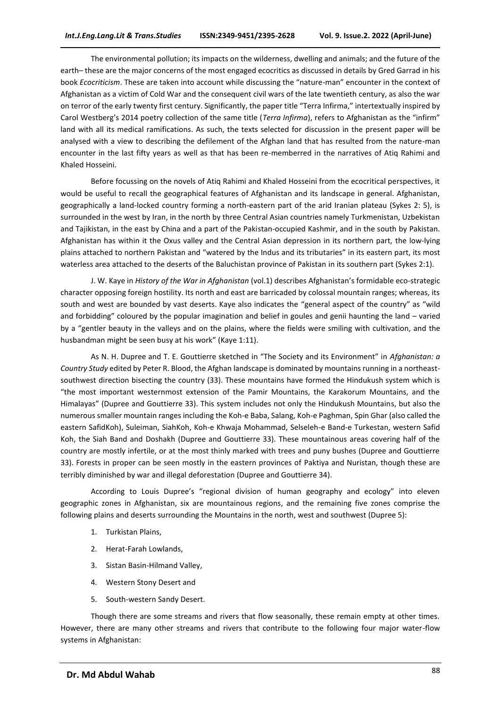The environmental pollution; its impacts on the wilderness, dwelling and animals; and the future of the earth– these are the major concerns of the most engaged ecocritics as discussed in details by Gred Garrad in his book *Ecocriticism*. These are taken into account while discussing the "nature-man" encounter in the context of Afghanistan as a victim of Cold War and the consequent civil wars of the late twentieth century, as also the war on terror of the early twenty first century. Significantly, the paper title "Terra Infirma," intertextually inspired by Carol Westberg's 2014 poetry collection of the same title (*Terra Infirma*), refers to Afghanistan as the "infirm" land with all its medical ramifications. As such, the texts selected for discussion in the present paper will be analysed with a view to describing the defilement of the Afghan land that has resulted from the nature-man encounter in the last fifty years as well as that has been re-memberred in the narratives of Atiq Rahimi and Khaled Hosseini.

Before focussing on the novels of Atiq Rahimi and Khaled Hosseini from the ecocritical perspectives, it would be useful to recall the geographical features of Afghanistan and its landscape in general. Afghanistan, geographically a land-locked country forming a north-eastern part of the arid Iranian plateau (Sykes 2: 5), is surrounded in the west by Iran, in the north by three Central Asian countries namely Turkmenistan, Uzbekistan and Tajikistan, in the east by China and a part of the Pakistan-occupied Kashmir, and in the south by Pakistan. Afghanistan has within it the Oxus valley and the Central Asian depression in its northern part, the low-lying plains attached to northern Pakistan and "watered by the Indus and its tributaries" in its eastern part, its most waterless area attached to the deserts of the Baluchistan province of Pakistan in its southern part (Sykes 2:1).

J. W. Kaye in *History of the War in Afghanistan* (vol.1) describes Afghanistan's formidable eco-strategic character opposing foreign hostility. Its north and east are barricaded by colossal mountain ranges; whereas, its south and west are bounded by vast deserts. Kaye also indicates the "general aspect of the country" as "wild and forbidding" coloured by the popular imagination and belief in goules and genii haunting the land – varied by a "gentler beauty in the valleys and on the plains, where the fields were smiling with cultivation, and the husbandman might be seen busy at his work" (Kaye 1:11).

As N. H. Dupree and T. E. Gouttierre sketched in "The Society and its Environment" in *Afghanistan: a Country Study* edited by Peter R. Blood, the Afghan landscape is dominated by mountains running in a northeastsouthwest direction bisecting the country (33). These mountains have formed the Hindukush system which is "the most important westernmost extension of the Pamir Mountains, the Karakorum Mountains, and the Himalayas" (Dupree and Gouttierre 33). This system includes not only the Hindukush Mountains, but also the numerous smaller mountain ranges including the Koh-e Baba, Salang, Koh-e Paghman, Spin Ghar (also called the eastern SafidKoh), Suleiman, SiahKoh, Koh-e Khwaja Mohammad, Selseleh-e Band-e Turkestan, western Safid Koh, the Siah Band and Doshakh (Dupree and Gouttierre 33). These mountainous areas covering half of the country are mostly infertile, or at the most thinly marked with trees and puny bushes (Dupree and Gouttierre 33). Forests in proper can be seen mostly in the eastern provinces of Paktiya and Nuristan, though these are terribly diminished by war and illegal deforestation (Dupree and Gouttierre 34).

According to Louis Dupree's "regional division of human geography and ecology" into eleven geographic zones in Afghanistan, six are mountainous regions, and the remaining five zones comprise the following plains and deserts surrounding the Mountains in the north, west and southwest (Dupree 5):

- 1. Turkistan Plains,
- 2. Herat-Farah Lowlands,
- 3. Sistan Basin-Hilmand Valley,
- 4. Western Stony Desert and
- 5. South-western Sandy Desert.

Though there are some streams and rivers that flow seasonally, these remain empty at other times. However, there are many other streams and rivers that contribute to the following four major water-flow systems in Afghanistan: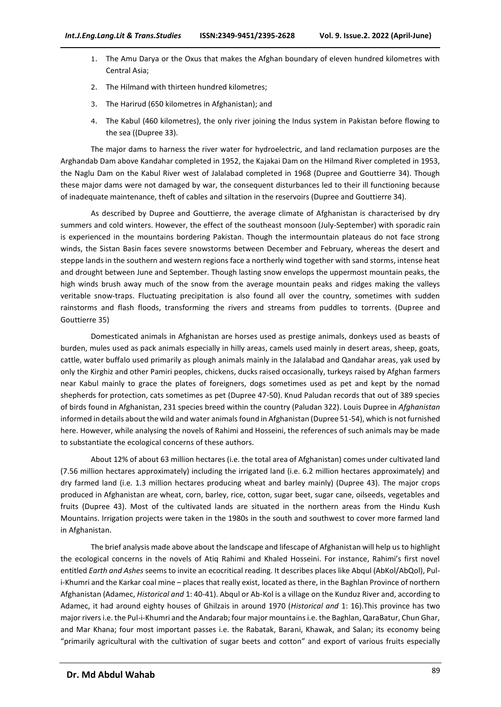- 1. The Amu Darya or the Oxus that makes the Afghan boundary of eleven hundred kilometres with Central Asia;
- 2. The Hilmand with thirteen hundred kilometres;
- 3. The Harirud (650 kilometres in Afghanistan); and
- 4. The Kabul (460 kilometres), the only river joining the Indus system in Pakistan before flowing to the sea ((Dupree 33).

The major dams to harness the river water for hydroelectric, and land reclamation purposes are the Arghandab Dam above Kandahar completed in 1952, the Kajakai Dam on the Hilmand River completed in 1953, the Naglu Dam on the Kabul River west of Jalalabad completed in 1968 (Dupree and Gouttierre 34). Though these major dams were not damaged by war, the consequent disturbances led to their ill functioning because of inadequate maintenance, theft of cables and siltation in the reservoirs (Dupree and Gouttierre 34).

As described by Dupree and Gouttierre, the average climate of Afghanistan is characterised by dry summers and cold winters. However, the effect of the southeast monsoon (July-September) with sporadic rain is experienced in the mountains bordering Pakistan. Though the intermountain plateaus do not face strong winds, the Sistan Basin faces severe snowstorms between December and February, whereas the desert and steppe lands in the southern and western regions face a northerly wind together with sand storms, intense heat and drought between June and September. Though lasting snow envelops the uppermost mountain peaks, the high winds brush away much of the snow from the average mountain peaks and ridges making the valleys veritable snow-traps. Fluctuating precipitation is also found all over the country, sometimes with sudden rainstorms and flash floods, transforming the rivers and streams from puddles to torrents. (Dupree and Gouttierre 35)

Domesticated animals in Afghanistan are horses used as prestige animals, donkeys used as beasts of burden, mules used as pack animals especially in hilly areas, camels used mainly in desert areas, sheep, goats, cattle, water buffalo used primarily as plough animals mainly in the Jalalabad and Qandahar areas, yak used by only the Kirghiz and other Pamiri peoples, chickens, ducks raised occasionally, turkeys raised by Afghan farmers near Kabul mainly to grace the plates of foreigners, dogs sometimes used as pet and kept by the nomad shepherds for protection, cats sometimes as pet (Dupree 47-50). Knud Paludan records that out of 389 species of birds found in Afghanistan, 231 species breed within the country (Paludan 322). Louis Dupree in *Afghanistan* informed in details about the wild and water animals found in Afghanistan (Dupree 51-54), which is not furnished here. However, while analysing the novels of Rahimi and Hosseini, the references of such animals may be made to substantiate the ecological concerns of these authors.

About 12% of about 63 million hectares (i.e. the total area of Afghanistan) comes under cultivated land (7.56 million hectares approximately) including the irrigated land (i.e. 6.2 million hectares approximately) and dry farmed land (i.e. 1.3 million hectares producing wheat and barley mainly) (Dupree 43). The major crops produced in Afghanistan are wheat, corn, barley, rice, cotton, sugar beet, sugar cane, oilseeds, vegetables and fruits (Dupree 43). Most of the cultivated lands are situated in the northern areas from the Hindu Kush Mountains. Irrigation projects were taken in the 1980s in the south and southwest to cover more farmed land in Afghanistan.

The brief analysis made above about the landscape and lifescape of Afghanistan will help us to highlight the ecological concerns in the novels of Atiq Rahimi and Khaled Hosseini. For instance, Rahimi's first novel entitled *Earth and Ashes* seems to invite an ecocritical reading. It describes places like Abqul (AbKol/AbQol), Puli-Khumri and the Karkar coal mine – places that really exist, located as there, in the Baghlan Province of northern Afghanistan (Adamec, *Historical and* 1: 40-41). Abqul or Ab-Kol is a village on the Kunduz River and, according to Adamec, it had around eighty houses of Ghilzais in around 1970 (*Historical and* 1: 16).This province has two major rivers i.e. the Pul-i-Khumri and the Andarab; four major mountains i.e. the Baghlan, QaraBatur, Chun Ghar, and Mar Khana; four most important passes i.e. the Rabatak, Barani, Khawak, and Salan; its economy being "primarily agricultural with the cultivation of sugar beets and cotton" and export of various fruits especially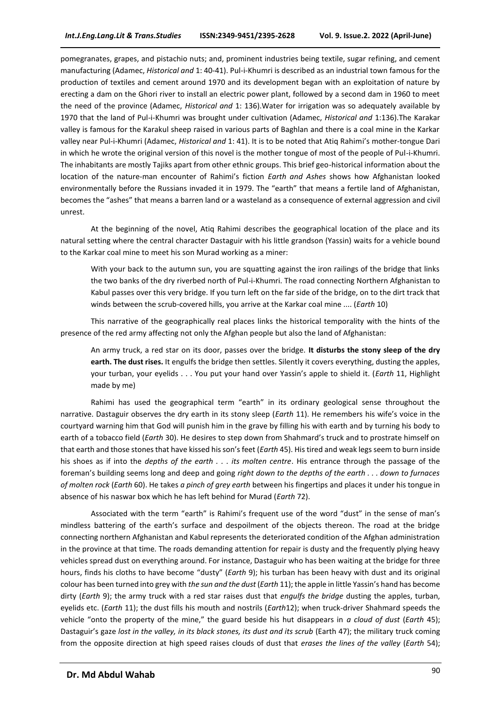pomegranates, grapes, and pistachio nuts; and, prominent industries being textile, sugar refining, and cement manufacturing (Adamec, *Historical and* 1: 40-41). Pul-i-Khumri is described as an industrial town famous for the production of textiles and cement around 1970 and its development began with an exploitation of nature by erecting a dam on the Ghori river to install an electric power plant, followed by a second dam in 1960 to meet the need of the province (Adamec, *Historical and* 1: 136).Water for irrigation was so adequately available by 1970 that the land of Pul-i-Khumri was brought under cultivation (Adamec, *Historical and* 1:136).The Karakar valley is famous for the Karakul sheep raised in various parts of Baghlan and there is a coal mine in the Karkar valley near Pul-i-Khumri (Adamec, *Historical and* 1: 41). It is to be noted that Atiq Rahimi's mother-tongue Dari in which he wrote the original version of this novel is the mother tongue of most of the people of Pul-i-Khumri. The inhabitants are mostly Tajiks apart from other ethnic groups. This brief geo-historical information about the location of the nature-man encounter of Rahimi's fiction *Earth and Ashes* shows how Afghanistan looked environmentally before the Russians invaded it in 1979. The "earth" that means a fertile land of Afghanistan, becomes the "ashes" that means a barren land or a wasteland as a consequence of external aggression and civil unrest.

At the beginning of the novel, Atiq Rahimi describes the geographical location of the place and its natural setting where the central character Dastaguir with his little grandson (Yassin) waits for a vehicle bound to the Karkar coal mine to meet his son Murad working as a miner:

With your back to the autumn sun, you are squatting against the iron railings of the bridge that links the two banks of the dry riverbed north of Pul-i-Khumri. The road connecting Northern Afghanistan to Kabul passes over this very bridge. If you turn left on the far side of the bridge, on to the dirt track that winds between the scrub-covered hills, you arrive at the Karkar coal mine .... (*Earth* 10)

This narrative of the geographically real places links the historical temporality with the hints of the presence of the red army affecting not only the Afghan people but also the land of Afghanistan:

An army truck, a red star on its door, passes over the bridge. **It disturbs the stony sleep of the dry earth. The dust rises.** It engulfs the bridge then settles. Silently it covers everything, dusting the apples, your turban, your eyelids . . . You put your hand over Yassin's apple to shield it. (*Earth* 11, Highlight made by me)

Rahimi has used the geographical term "earth" in its ordinary geological sense throughout the narrative. Dastaguir observes the dry earth in its stony sleep (*Earth* 11). He remembers his wife's voice in the courtyard warning him that God will punish him in the grave by filling his with earth and by turning his body to earth of a tobacco field (*Earth* 30). He desires to step down from Shahmard's truck and to prostrate himself on that earth and those stones that have kissed his son's feet (*Earth* 45). His tired and weak legs seem to burn inside his shoes as if into the *depths of the earth . . . its molten centre*. His entrance through the passage of the foreman's building seems long and deep and going *right down to the depths of the earth . . . down to furnaces of molten rock* (*Earth* 60). He takes *a pinch of grey earth* between his fingertips and places it under his tongue in absence of his naswar box which he has left behind for Murad (*Earth* 72).

Associated with the term "earth" is Rahimi's frequent use of the word "dust" in the sense of man's mindless battering of the earth's surface and despoilment of the objects thereon. The road at the bridge connecting northern Afghanistan and Kabul represents the deteriorated condition of the Afghan administration in the province at that time. The roads demanding attention for repair is dusty and the frequently plying heavy vehicles spread dust on everything around. For instance, Dastaguir who has been waiting at the bridge for three hours, finds his cloths to have become "dusty" (*Earth* 9); his turban has been heavy with dust and its original colour has been turned into grey with *the sun and the dust* (*Earth* 11); the apple in little Yassin's hand has become dirty (*Earth* 9); the army truck with a red star raises dust that *engulfs the bridge* dusting the apples, turban, eyelids etc. (*Earth* 11); the dust fills his mouth and nostrils (*Earth*12); when truck-driver Shahmard speeds the vehicle "onto the property of the mine," the guard beside his hut disappears in *a cloud of dust* (*Earth* 45); Dastaguir's gaze *lost in the valley, in its black stones, its dust and its scrub* (Earth 47); the military truck coming from the opposite direction at high speed raises clouds of dust that *erases the lines of the valley* (*Earth* 54);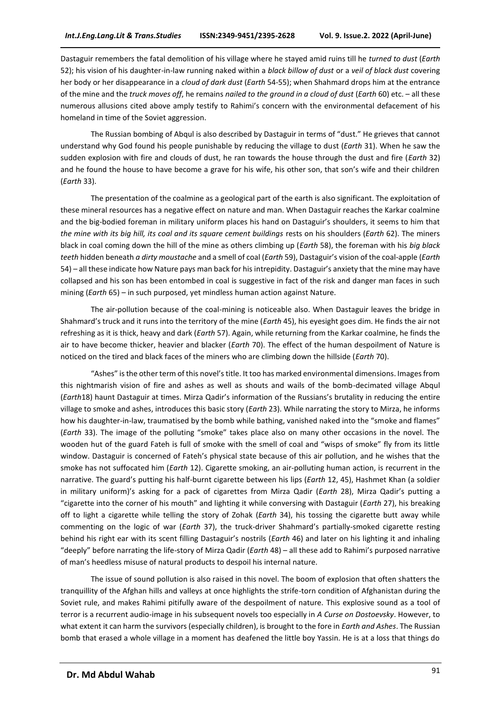Dastaguir remembers the fatal demolition of his village where he stayed amid ruins till he *turned to dust* (*Earth*  52); his vision of his daughter-in-law running naked within a *black billow of dust* or a *veil of black dust* covering her body or her disappearance in a *cloud of dark dust* (*Earth* 54-55); when Shahmard drops him at the entrance of the mine and the *truck moves off*, he remains *nailed to the ground in a cloud of dust* (*Earth* 60) etc. – all these numerous allusions cited above amply testify to Rahimi's concern with the environmental defacement of his homeland in time of the Soviet aggression.

The Russian bombing of Abqul is also described by Dastaguir in terms of "dust." He grieves that cannot understand why God found his people punishable by reducing the village to dust (*Earth* 31). When he saw the sudden explosion with fire and clouds of dust, he ran towards the house through the dust and fire (*Earth* 32) and he found the house to have become a grave for his wife, his other son, that son's wife and their children (*Earth* 33).

The presentation of the coalmine as a geological part of the earth is also significant. The exploitation of these mineral resources has a negative effect on nature and man. When Dastaguir reaches the Karkar coalmine and the big-bodied foreman in military uniform places his hand on Dastaguir's shoulders, it seems to him that *the mine with its big hill, its coal and its square cement buildings* rests on his shoulders (*Earth* 62). The miners black in coal coming down the hill of the mine as others climbing up (*Earth* 58), the foreman with his *big black teeth* hidden beneath *a dirty moustache* and a smell of coal (*Earth* 59), Dastaguir's vision of the coal-apple (*Earth*  54) – all these indicate how Nature pays man back for his intrepidity. Dastaguir's anxiety that the mine may have collapsed and his son has been entombed in coal is suggestive in fact of the risk and danger man faces in such mining (*Earth* 65) – in such purposed, yet mindless human action against Nature.

The air-pollution because of the coal-mining is noticeable also. When Dastaguir leaves the bridge in Shahmard's truck and it runs into the territory of the mine (*Earth* 45), his eyesight goes dim. He finds the air not refreshing as it is thick, heavy and dark (*Earth* 57). Again, while returning from the Karkar coalmine, he finds the air to have become thicker, heavier and blacker (*Earth* 70). The effect of the human despoilment of Nature is noticed on the tired and black faces of the miners who are climbing down the hillside (*Earth* 70).

"Ashes" is the other term of this novel's title. It too has marked environmental dimensions. Images from this nightmarish vision of fire and ashes as well as shouts and wails of the bomb-decimated village Abqul (*Earth*18) haunt Dastaguir at times. Mirza Qadir's information of the Russians's brutality in reducing the entire village to smoke and ashes, introduces this basic story (*Earth* 23). While narrating the story to Mirza, he informs how his daughter-in-law, traumatised by the bomb while bathing, vanished naked into the "smoke and flames" (*Earth* 33). The image of the polluting "smoke" takes place also on many other occasions in the novel. The wooden hut of the guard Fateh is full of smoke with the smell of coal and "wisps of smoke" fly from its little window. Dastaguir is concerned of Fateh's physical state because of this air pollution, and he wishes that the smoke has not suffocated him (*Earth* 12). Cigarette smoking, an air-polluting human action, is recurrent in the narrative. The guard's putting his half-burnt cigarette between his lips (*Earth* 12, 45), Hashmet Khan (a soldier in military uniform)'s asking for a pack of cigarettes from Mirza Qadir (*Earth* 28), Mirza Qadir's putting a "cigarette into the corner of his mouth" and lighting it while conversing with Dastaguir (*Earth* 27), his breaking off to light a cigarette while telling the story of Zohak (*Earth* 34), his tossing the cigarette butt away while commenting on the logic of war (*Earth* 37), the truck-driver Shahmard's partially-smoked cigarette resting behind his right ear with its scent filling Dastaguir's nostrils (*Earth* 46) and later on his lighting it and inhaling "deeply" before narrating the life-story of Mirza Qadir (*Earth* 48) – all these add to Rahimi's purposed narrative of man's heedless misuse of natural products to despoil his internal nature.

The issue of sound pollution is also raised in this novel. The boom of explosion that often shatters the tranquillity of the Afghan hills and valleys at once highlights the strife-torn condition of Afghanistan during the Soviet rule, and makes Rahimi pitifully aware of the despoilment of nature. This explosive sound as a tool of terror is a recurrent audio-image in his subsequent novels too especially in *A Curse on Dostoevsky*. However, to what extent it can harm the survivors (especially children), is brought to the fore in *Earth and Ashes*. The Russian bomb that erased a whole village in a moment has deafened the little boy Yassin. He is at a loss that things do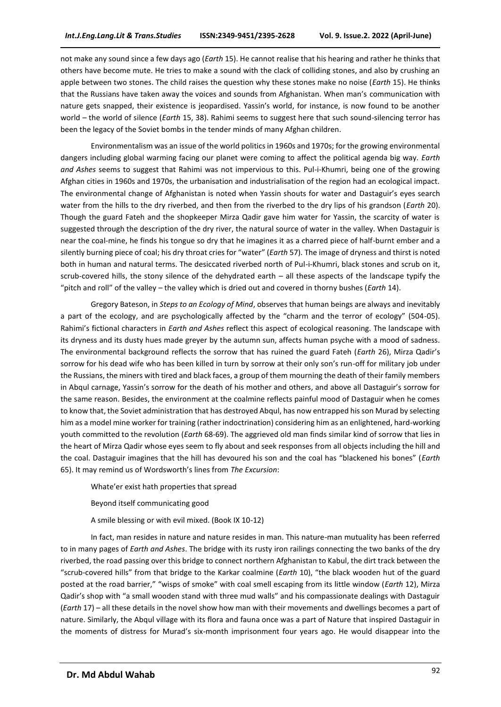not make any sound since a few days ago (*Earth* 15). He cannot realise that his hearing and rather he thinks that others have become mute. He tries to make a sound with the clack of colliding stones, and also by crushing an apple between two stones. The child raises the question why these stones make no noise (*Earth* 15). He thinks that the Russians have taken away the voices and sounds from Afghanistan. When man's communication with nature gets snapped, their existence is jeopardised. Yassin's world, for instance, is now found to be another world – the world of silence (*Earth* 15, 38). Rahimi seems to suggest here that such sound-silencing terror has been the legacy of the Soviet bombs in the tender minds of many Afghan children.

Environmentalism was an issue of the world politics in 1960s and 1970s; for the growing environmental dangers including global warming facing our planet were coming to affect the political agenda big way. *Earth and Ashes* seems to suggest that Rahimi was not impervious to this. Pul-i-Khumri, being one of the growing Afghan cities in 1960s and 1970s, the urbanisation and industrialisation of the region had an ecological impact. The environmental change of Afghanistan is noted when Yassin shouts for water and Dastaguir's eyes search water from the hills to the dry riverbed, and then from the riverbed to the dry lips of his grandson (*Earth* 20). Though the guard Fateh and the shopkeeper Mirza Qadir gave him water for Yassin, the scarcity of water is suggested through the description of the dry river, the natural source of water in the valley. When Dastaguir is near the coal-mine, he finds his tongue so dry that he imagines it as a charred piece of half-burnt ember and a silently burning piece of coal; his dry throat cries for "water" (*Earth* 57). The image of dryness and thirst is noted both in human and natural terms. The desiccated riverbed north of Pul-i-Khumri, black stones and scrub on it, scrub-covered hills, the stony silence of the dehydrated earth – all these aspects of the landscape typify the "pitch and roll" of the valley – the valley which is dried out and covered in thorny bushes (*Earth* 14).

Gregory Bateson, in *Steps to an Ecology of Mind*, observes that human beings are always and inevitably a part of the ecology, and are psychologically affected by the "charm and the terror of ecology" (504-05). Rahimi's fictional characters in *Earth and Ashes* reflect this aspect of ecological reasoning. The landscape with its dryness and its dusty hues made greyer by the autumn sun, affects human psyche with a mood of sadness. The environmental background reflects the sorrow that has ruined the guard Fateh (*Earth* 26), Mirza Qadir's sorrow for his dead wife who has been killed in turn by sorrow at their only son's run-off for military job under the Russians, the miners with tired and black faces, a group of them mourning the death of their family members in Abqul carnage, Yassin's sorrow for the death of his mother and others, and above all Dastaguir's sorrow for the same reason. Besides, the environment at the coalmine reflects painful mood of Dastaguir when he comes to know that, the Soviet administration that has destroyed Abqul, has now entrapped his son Murad by selecting him as a model mine worker for training (rather indoctrination) considering him as an enlightened, hard-working youth committed to the revolution (*Earth* 68-69). The aggrieved old man finds similar kind of sorrow that lies in the heart of Mirza Qadir whose eyes seem to fly about and seek responses from all objects including the hill and the coal. Dastaguir imagines that the hill has devoured his son and the coal has "blackened his bones" (*Earth*  65). It may remind us of Wordsworth's lines from *The Excursion*:

- Whate'er exist hath properties that spread
- Beyond itself communicating good
- A smile blessing or with evil mixed. (Book IX 10-12)

In fact, man resides in nature and nature resides in man. This nature-man mutuality has been referred to in many pages of *Earth and Ashes*. The bridge with its rusty iron railings connecting the two banks of the dry riverbed, the road passing over this bridge to connect northern Afghanistan to Kabul, the dirt track between the "scrub-covered hills" from that bridge to the Karkar coalmine (*Earth* 10), "the black wooden hut of the guard posted at the road barrier," "wisps of smoke" with coal smell escaping from its little window (*Earth* 12), Mirza Qadir's shop with "a small wooden stand with three mud walls" and his compassionate dealings with Dastaguir (*Earth* 17) – all these details in the novel show how man with their movements and dwellings becomes a part of nature. Similarly, the Abqul village with its flora and fauna once was a part of Nature that inspired Dastaguir in the moments of distress for Murad's six-month imprisonment four years ago. He would disappear into the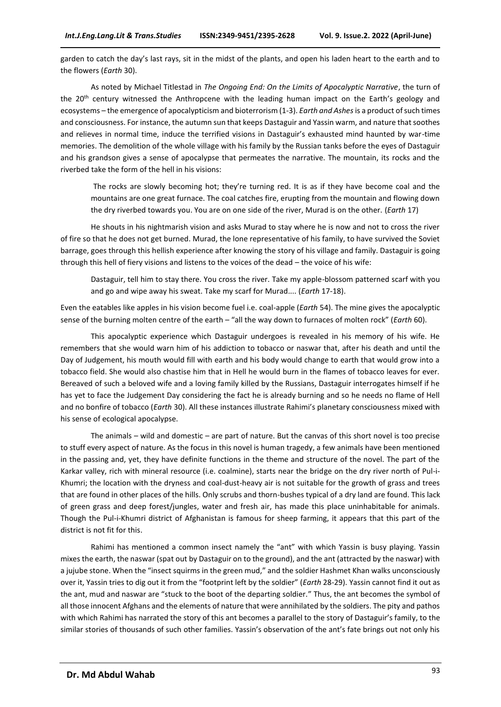garden to catch the day's last rays, sit in the midst of the plants, and open his laden heart to the earth and to the flowers (*Earth* 30).

As noted by Michael Titlestad in *The Ongoing End: On the Limits of Apocalyptic Narrative*, the turn of the 20<sup>th</sup> century witnessed the Anthropcene with the leading human impact on the Earth's geology and ecosystems – the emergence of apocalypticism and bioterrorism (1-3). *Earth and Ashes*is a product of such times and consciousness. For instance, the autumn sun that keeps Dastaguir and Yassin warm, and nature that soothes and relieves in normal time, induce the terrified visions in Dastaguir's exhausted mind haunted by war-time memories. The demolition of the whole village with his family by the Russian tanks before the eyes of Dastaguir and his grandson gives a sense of apocalypse that permeates the narrative. The mountain, its rocks and the riverbed take the form of the hell in his visions:

The rocks are slowly becoming hot; they're turning red. It is as if they have become coal and the mountains are one great furnace. The coal catches fire, erupting from the mountain and flowing down the dry riverbed towards you. You are on one side of the river, Murad is on the other. (*Earth* 17)

He shouts in his nightmarish vision and asks Murad to stay where he is now and not to cross the river of fire so that he does not get burned. Murad, the lone representative of his family, to have survived the Soviet barrage, goes through this hellish experience after knowing the story of his village and family. Dastaguir is going through this hell of fiery visions and listens to the voices of the dead – the voice of his wife:

Dastaguir, tell him to stay there. You cross the river. Take my apple-blossom patterned scarf with you and go and wipe away his sweat. Take my scarf for Murad.... (*Earth* 17-18).

Even the eatables like apples in his vision become fuel i.e. coal-apple (*Earth* 54). The mine gives the apocalyptic sense of the burning molten centre of the earth – "all the way down to furnaces of molten rock" (*Earth* 60).

This apocalyptic experience which Dastaguir undergoes is revealed in his memory of his wife. He remembers that she would warn him of his addiction to tobacco or naswar that, after his death and until the Day of Judgement, his mouth would fill with earth and his body would change to earth that would grow into a tobacco field. She would also chastise him that in Hell he would burn in the flames of tobacco leaves for ever. Bereaved of such a beloved wife and a loving family killed by the Russians, Dastaguir interrogates himself if he has yet to face the Judgement Day considering the fact he is already burning and so he needs no flame of Hell and no bonfire of tobacco (*Earth* 30). All these instances illustrate Rahimi's planetary consciousness mixed with his sense of ecological apocalypse.

The animals – wild and domestic – are part of nature. But the canvas of this short novel is too precise to stuff every aspect of nature. As the focus in this novel is human tragedy, a few animals have been mentioned in the passing and, yet, they have definite functions in the theme and structure of the novel. The part of the Karkar valley, rich with mineral resource (i.e. coalmine), starts near the bridge on the dry river north of Pul-i-Khumri; the location with the dryness and coal-dust-heavy air is not suitable for the growth of grass and trees that are found in other places of the hills. Only scrubs and thorn-bushes typical of a dry land are found. This lack of green grass and deep forest/jungles, water and fresh air, has made this place uninhabitable for animals. Though the Pul-i-Khumri district of Afghanistan is famous for sheep farming, it appears that this part of the district is not fit for this.

Rahimi has mentioned a common insect namely the "ant" with which Yassin is busy playing. Yassin mixes the earth, the naswar (spat out by Dastaguir on to the ground), and the ant (attracted by the naswar) with a jujube stone. When the "insect squirms in the green mud," and the soldier Hashmet Khan walks unconsciously over it, Yassin tries to dig out it from the "footprint left by the soldier" (*Earth* 28-29). Yassin cannot find it out as the ant, mud and naswar are "stuck to the boot of the departing soldier." Thus, the ant becomes the symbol of all those innocent Afghans and the elements of nature that were annihilated by the soldiers. The pity and pathos with which Rahimi has narrated the story of this ant becomes a parallel to the story of Dastaguir's family, to the similar stories of thousands of such other families. Yassin's observation of the ant's fate brings out not only his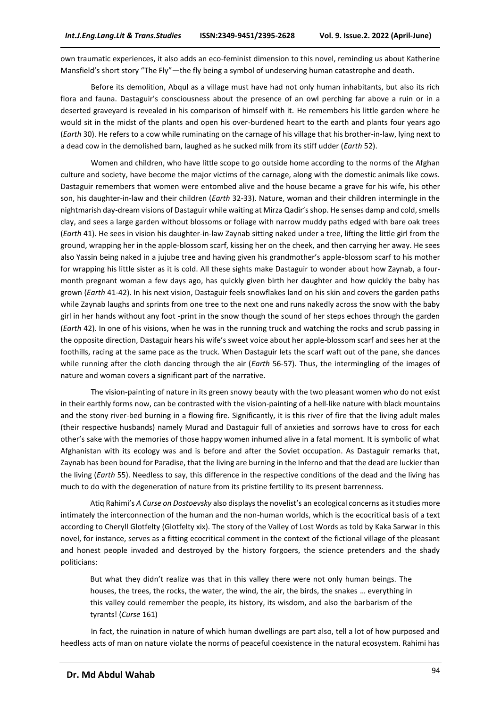own traumatic experiences, it also adds an eco-feminist dimension to this novel, reminding us about Katherine Mansfield's short story "The Fly"—the fly being a symbol of undeserving human catastrophe and death.

Before its demolition, Abqul as a village must have had not only human inhabitants, but also its rich flora and fauna. Dastaguir's consciousness about the presence of an owl perching far above a ruin or in a deserted graveyard is revealed in his comparison of himself with it. He remembers his little garden where he would sit in the midst of the plants and open his over-burdened heart to the earth and plants four years ago (*Earth* 30). He refers to a cow while ruminating on the carnage of his village that his brother-in-law, lying next to a dead cow in the demolished barn, laughed as he sucked milk from its stiff udder (*Earth* 52).

Women and children, who have little scope to go outside home according to the norms of the Afghan culture and society, have become the major victims of the carnage, along with the domestic animals like cows. Dastaguir remembers that women were entombed alive and the house became a grave for his wife, his other son, his daughter-in-law and their children (*Earth* 32-33). Nature, woman and their children intermingle in the nightmarish day-dream visions of Dastaguir while waiting at Mirza Qadir's shop. He senses damp and cold, smells clay, and sees a large garden without blossoms or foliage with narrow muddy paths edged with bare oak trees (*Earth* 41). He sees in vision his daughter-in-law Zaynab sitting naked under a tree, lifting the little girl from the ground, wrapping her in the apple-blossom scarf, kissing her on the cheek, and then carrying her away. He sees also Yassin being naked in a jujube tree and having given his grandmother's apple-blossom scarf to his mother for wrapping his little sister as it is cold. All these sights make Dastaguir to wonder about how Zaynab, a fourmonth pregnant woman a few days ago, has quickly given birth her daughter and how quickly the baby has grown (*Earth* 41-42). In his next vision, Dastaguir feels snowflakes land on his skin and covers the garden paths while Zaynab laughs and sprints from one tree to the next one and runs nakedly across the snow with the baby girl in her hands without any foot -print in the snow though the sound of her steps echoes through the garden (*Earth* 42). In one of his visions, when he was in the running truck and watching the rocks and scrub passing in the opposite direction, Dastaguir hears his wife's sweet voice about her apple-blossom scarf and sees her at the foothills, racing at the same pace as the truck. When Dastaguir lets the scarf waft out of the pane, she dances while running after the cloth dancing through the air (*Earth* 56-57). Thus, the intermingling of the images of nature and woman covers a significant part of the narrative.

The vision-painting of nature in its green snowy beauty with the two pleasant women who do not exist in their earthly forms now, can be contrasted with the vision-painting of a hell-like nature with black mountains and the stony river-bed burning in a flowing fire. Significantly, it is this river of fire that the living adult males (their respective husbands) namely Murad and Dastaguir full of anxieties and sorrows have to cross for each other's sake with the memories of those happy women inhumed alive in a fatal moment. It is symbolic of what Afghanistan with its ecology was and is before and after the Soviet occupation. As Dastaguir remarks that, Zaynab has been bound for Paradise, that the living are burning in the Inferno and that the dead are luckier than the living (*Earth* 55). Needless to say, this difference in the respective conditions of the dead and the living has much to do with the degeneration of nature from its pristine fertility to its present barrenness.

Atiq Rahimi's *A Curse on Dostoevsky* also displays the novelist's an ecological concerns as it studies more intimately the interconnection of the human and the non-human worlds, which is the ecocritical basis of a text according to Cheryll Glotfelty (Glotfelty xix). The story of the Valley of Lost Words as told by Kaka Sarwar in this novel, for instance, serves as a fitting ecocritical comment in the context of the fictional village of the pleasant and honest people invaded and destroyed by the history forgoers, the science pretenders and the shady politicians:

But what they didn't realize was that in this valley there were not only human beings. The houses, the trees, the rocks, the water, the wind, the air, the birds, the snakes … everything in this valley could remember the people, its history, its wisdom, and also the barbarism of the tyrants! (*Curse* 161)

In fact, the ruination in nature of which human dwellings are part also, tell a lot of how purposed and heedless acts of man on nature violate the norms of peaceful coexistence in the natural ecosystem. Rahimi has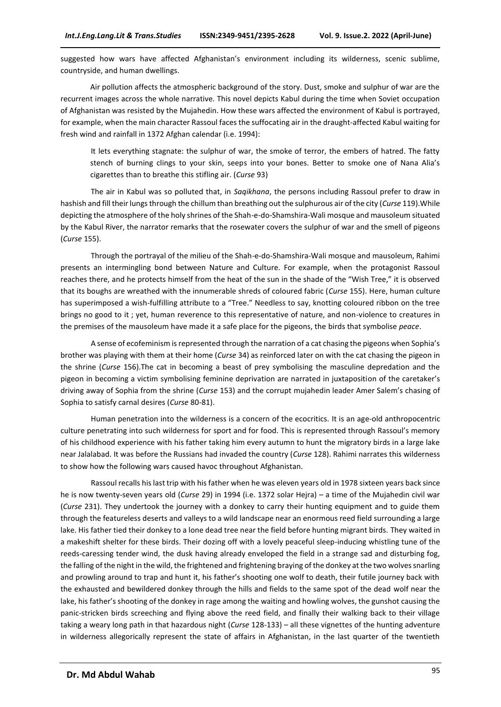suggested how wars have affected Afghanistan's environment including its wilderness, scenic sublime, countryside, and human dwellings.

Air pollution affects the atmospheric background of the story. Dust, smoke and sulphur of war are the recurrent images across the whole narrative. This novel depicts Kabul during the time when Soviet occupation of Afghanistan was resisted by the Mujahedin. How these wars affected the environment of Kabul is portrayed, for example, when the main character Rassoul faces the suffocating air in the draught-affected Kabul waiting for fresh wind and rainfall in 1372 Afghan calendar (i.e. 1994):

It lets everything stagnate: the sulphur of war, the smoke of terror, the embers of hatred. The fatty stench of burning clings to your skin, seeps into your bones. Better to smoke one of Nana Alia's cigarettes than to breathe this stifling air. (*Curse* 93)

The air in Kabul was so polluted that, in *Saqikhana*, the persons including Rassoul prefer to draw in hashish and fill their lungs through the chillum than breathing out the sulphurous air of the city (*Curse* 119).While depicting the atmosphere of the holy shrines of the Shah-e-do-Shamshira-Wali mosque and mausoleum situated by the Kabul River, the narrator remarks that the rosewater covers the sulphur of war and the smell of pigeons (*Curse* 155).

Through the portrayal of the milieu of the Shah-e-do-Shamshira-Wali mosque and mausoleum, Rahimi presents an intermingling bond between Nature and Culture. For example, when the protagonist Rassoul reaches there, and he protects himself from the heat of the sun in the shade of the "Wish Tree," it is observed that its boughs are wreathed with the innumerable shreds of coloured fabric (*Curse* 155). Here, human culture has superimposed a wish-fulfilling attribute to a "Tree." Needless to say, knotting coloured ribbon on the tree brings no good to it ; yet, human reverence to this representative of nature, and non-violence to creatures in the premises of the mausoleum have made it a safe place for the pigeons, the birds that symbolise *peace*.

A sense of ecofeminism is represented through the narration of a cat chasing the pigeons when Sophia's brother was playing with them at their home (*Curse* 34) as reinforced later on with the cat chasing the pigeon in the shrine (*Curse* 156).The cat in becoming a beast of prey symbolising the masculine depredation and the pigeon in becoming a victim symbolising feminine deprivation are narrated in juxtaposition of the caretaker's driving away of Sophia from the shrine (*Curse* 153) and the corrupt mujahedin leader Amer Salem's chasing of Sophia to satisfy carnal desires (*Curse* 80-81).

Human penetration into the wilderness is a concern of the ecocritics. It is an age-old anthropocentric culture penetrating into such wilderness for sport and for food. This is represented through Rassoul's memory of his childhood experience with his father taking him every autumn to hunt the migratory birds in a large lake near Jalalabad. It was before the Russians had invaded the country (*Curse* 128). Rahimi narrates this wilderness to show how the following wars caused havoc throughout Afghanistan.

Rassoul recalls his last trip with his father when he was eleven years old in 1978 sixteen years back since he is now twenty-seven years old (*Curse* 29) in 1994 (i.e. 1372 solar Hejra) – a time of the Mujahedin civil war (*Curse* 231). They undertook the journey with a donkey to carry their hunting equipment and to guide them through the featureless deserts and valleys to a wild landscape near an enormous reed field surrounding a large lake. His father tied their donkey to a lone dead tree near the field before hunting migrant birds. They waited in a makeshift shelter for these birds. Their dozing off with a lovely peaceful sleep-inducing whistling tune of the reeds-caressing tender wind, the dusk having already enveloped the field in a strange sad and disturbing fog, the falling of the night in the wild, the frightened and frightening braying of the donkey at the two wolves snarling and prowling around to trap and hunt it, his father's shooting one wolf to death, their futile journey back with the exhausted and bewildered donkey through the hills and fields to the same spot of the dead wolf near the lake, his father's shooting of the donkey in rage among the waiting and howling wolves, the gunshot causing the panic-stricken birds screeching and flying above the reed field, and finally their walking back to their village taking a weary long path in that hazardous night (*Curse* 128-133) – all these vignettes of the hunting adventure in wilderness allegorically represent the state of affairs in Afghanistan, in the last quarter of the twentieth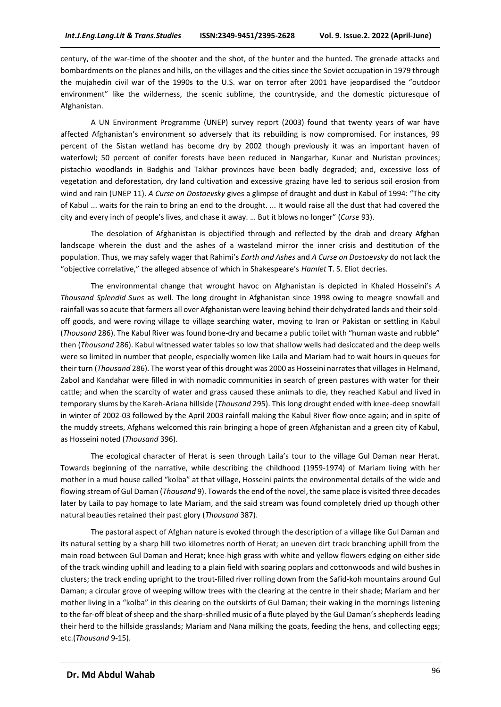century, of the war-time of the shooter and the shot, of the hunter and the hunted. The grenade attacks and bombardments on the planes and hills, on the villages and the cities since the Soviet occupation in 1979 through the mujahedin civil war of the 1990s to the U.S. war on terror after 2001 have jeopardised the "outdoor environment" like the wilderness, the scenic sublime, the countryside, and the domestic picturesque of Afghanistan.

A UN Environment Programme (UNEP) survey report (2003) found that twenty years of war have affected Afghanistan's environment so adversely that its rebuilding is now compromised. For instances, 99 percent of the Sistan wetland has become dry by 2002 though previously it was an important haven of waterfowl; 50 percent of conifer forests have been reduced in Nangarhar, Kunar and Nuristan provinces; pistachio woodlands in Badghis and Takhar provinces have been badly degraded; and, excessive loss of vegetation and deforestation, dry land cultivation and excessive grazing have led to serious soil erosion from wind and rain (UNEP 11). *A Curse on Dostoevsky* gives a glimpse of draught and dust in Kabul of 1994: "The city of Kabul ... waits for the rain to bring an end to the drought. ... It would raise all the dust that had covered the city and every inch of people's lives, and chase it away. … But it blows no longer" (*Curse* 93).

The desolation of Afghanistan is objectified through and reflected by the drab and dreary Afghan landscape wherein the dust and the ashes of a wasteland mirror the inner crisis and destitution of the population. Thus, we may safely wager that Rahimi's *Earth and Ashes* and *A Curse on Dostoevsky* do not lack the "objective correlative," the alleged absence of which in Shakespeare's *Hamlet* T. S. Eliot decries.

The environmental change that wrought havoc on Afghanistan is depicted in Khaled Hosseini's *A Thousand Splendid Suns* as well*.* The long drought in Afghanistan since 1998 owing to meagre snowfall and rainfall was so acute that farmers all over Afghanistan were leaving behind their dehydrated lands and their soldoff goods, and were roving village to village searching water, moving to Iran or Pakistan or settling in Kabul (*Thousand* 286). The Kabul River was found bone-dry and became a public toilet with "human waste and rubble" then (*Thousand* 286). Kabul witnessed water tables so low that shallow wells had desiccated and the deep wells were so limited in number that people, especially women like Laila and Mariam had to wait hours in queues for their turn (*Thousand* 286). The worst year of this drought was 2000 as Hosseini narrates that villages in Helmand, Zabol and Kandahar were filled in with nomadic communities in search of green pastures with water for their cattle; and when the scarcity of water and grass caused these animals to die, they reached Kabul and lived in temporary slums by the Kareh-Ariana hillside (*Thousand* 295). This long drought ended with knee-deep snowfall in winter of 2002-03 followed by the April 2003 rainfall making the Kabul River flow once again; and in spite of the muddy streets, Afghans welcomed this rain bringing a hope of green Afghanistan and a green city of Kabul, as Hosseini noted (*Thousand* 396).

The ecological character of Herat is seen through Laila's tour to the village Gul Daman near Herat. Towards beginning of the narrative, while describing the childhood (1959-1974) of Mariam living with her mother in a mud house called "kolba" at that village, Hosseini paints the environmental details of the wide and flowing stream of Gul Daman (*Thousand* 9). Towards the end of the novel, the same place is visited three decades later by Laila to pay homage to late Mariam, and the said stream was found completely dried up though other natural beauties retained their past glory (*Thousand* 387).

The pastoral aspect of Afghan nature is evoked through the description of a village like Gul Daman and its natural setting by a sharp hill two kilometres north of Herat; an uneven dirt track branching uphill from the main road between Gul Daman and Herat; knee-high grass with white and yellow flowers edging on either side of the track winding uphill and leading to a plain field with soaring poplars and cottonwoods and wild bushes in clusters; the track ending upright to the trout-filled river rolling down from the Safid-koh mountains around Gul Daman; a circular grove of weeping willow trees with the clearing at the centre in their shade; Mariam and her mother living in a "kolba" in this clearing on the outskirts of Gul Daman; their waking in the mornings listening to the far-off bleat of sheep and the sharp-shrilled music of a flute played by the Gul Daman's shepherds leading their herd to the hillside grasslands; Mariam and Nana milking the goats, feeding the hens, and collecting eggs; etc.(*Thousand* 9-15).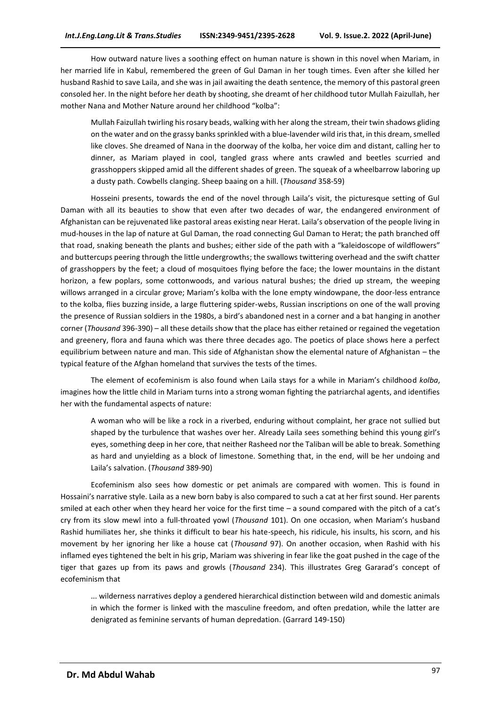How outward nature lives a soothing effect on human nature is shown in this novel when Mariam, in her married life in Kabul, remembered the green of Gul Daman in her tough times. Even after she killed her husband Rashid to save Laila, and she was in jail awaiting the death sentence, the memory of this pastoral green consoled her. In the night before her death by shooting, she dreamt of her childhood tutor Mullah Faizullah, her mother Nana and Mother Nature around her childhood "kolba":

Mullah Faizullah twirling his rosary beads, walking with her along the stream, their twin shadows gliding on the water and on the grassy banks sprinkled with a blue-lavender wild iris that, in this dream, smelled like cloves. She dreamed of Nana in the doorway of the kolba, her voice dim and distant, calling her to dinner, as Mariam played in cool, tangled grass where ants crawled and beetles scurried and grasshoppers skipped amid all the different shades of green. The squeak of a wheelbarrow laboring up a dusty path. Cowbells clanging. Sheep baaing on a hill. (*Thousand* 358-59)

Hosseini presents, towards the end of the novel through Laila's visit, the picturesque setting of Gul Daman with all its beauties to show that even after two decades of war, the endangered environment of Afghanistan can be rejuvenated like pastoral areas existing near Herat. Laila's observation of the people living in mud-houses in the lap of nature at Gul Daman, the road connecting Gul Daman to Herat; the path branched off that road, snaking beneath the plants and bushes; either side of the path with a "kaleidoscope of wildflowers" and buttercups peering through the little undergrowths; the swallows twittering overhead and the swift chatter of grasshoppers by the feet; a cloud of mosquitoes flying before the face; the lower mountains in the distant horizon, a few poplars, some cottonwoods, and various natural bushes; the dried up stream, the weeping willows arranged in a circular grove; Mariam's kolba with the lone empty windowpane, the door-less entrance to the kolba, flies buzzing inside, a large fluttering spider-webs, Russian inscriptions on one of the wall proving the presence of Russian soldiers in the 1980s, a bird's abandoned nest in a corner and a bat hanging in another corner (*Thousand* 396-390) – all these details show that the place has either retained or regained the vegetation and greenery, flora and fauna which was there three decades ago. The poetics of place shows here a perfect equilibrium between nature and man. This side of Afghanistan show the elemental nature of Afghanistan – the typical feature of the Afghan homeland that survives the tests of the times.

The element of ecofeminism is also found when Laila stays for a while in Mariam's childhood *kolba*, imagines how the little child in Mariam turns into a strong woman fighting the patriarchal agents, and identifies her with the fundamental aspects of nature:

A woman who will be like a rock in a riverbed, enduring without complaint, her grace not sullied but shaped by the turbulence that washes over her. Already Laila sees something behind this young girl's eyes, something deep in her core, that neither Rasheed nor the Taliban will be able to break. Something as hard and unyielding as a block of limestone. Something that, in the end, will be her undoing and Laila's salvation. (*Thousand* 389-90)

Ecofeminism also sees how domestic or pet animals are compared with women. This is found in Hossaini's narrative style. Laila as a new born baby is also compared to such a cat at her first sound. Her parents smiled at each other when they heard her voice for the first time – a sound compared with the pitch of a cat's cry from its slow mewl into a full-throated yowl (*Thousand* 101). On one occasion, when Mariam's husband Rashid humiliates her, she thinks it difficult to bear his hate-speech, his ridicule, his insults, his scorn, and his movement by her ignoring her like a house cat (*Thousand* 97). On another occasion, when Rashid with his inflamed eyes tightened the belt in his grip, Mariam was shivering in fear like the goat pushed in the cage of the tiger that gazes up from its paws and growls (*Thousand* 234). This illustrates Greg Gararad's concept of ecofeminism that

... wilderness narratives deploy a gendered hierarchical distinction between wild and domestic animals in which the former is linked with the masculine freedom, and often predation, while the latter are denigrated as feminine servants of human depredation. (Garrard 149-150)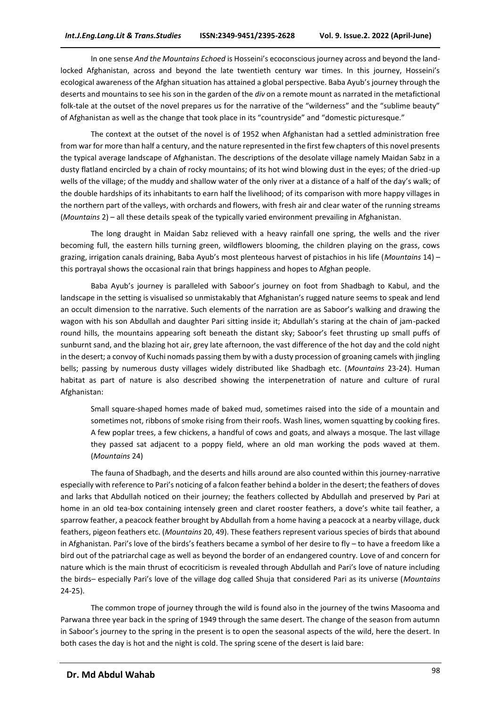In one sense *And the Mountains Echoed* is Hosseini's ecoconscious journey across and beyond the landlocked Afghanistan, across and beyond the late twentieth century war times. In this journey, Hosseini's ecological awareness of the Afghan situation has attained a global perspective. Baba Ayub's journey through the deserts and mountains to see his son in the garden of the *div* on a remote mount as narrated in the metafictional folk-tale at the outset of the novel prepares us for the narrative of the "wilderness" and the "sublime beauty" of Afghanistan as well as the change that took place in its "countryside" and "domestic picturesque."

The context at the outset of the novel is of 1952 when Afghanistan had a settled administration free from war for more than half a century, and the nature represented in the first few chapters of this novel presents the typical average landscape of Afghanistan. The descriptions of the desolate village namely Maidan Sabz in a dusty flatland encircled by a chain of rocky mountains; of its hot wind blowing dust in the eyes; of the dried-up wells of the village; of the muddy and shallow water of the only river at a distance of a half of the day's walk; of the double hardships of its inhabitants to earn half the livelihood; of its comparison with more happy villages in the northern part of the valleys, with orchards and flowers, with fresh air and clear water of the running streams (*Mountains* 2) – all these details speak of the typically varied environment prevailing in Afghanistan.

The long draught in Maidan Sabz relieved with a heavy rainfall one spring, the wells and the river becoming full, the eastern hills turning green, wildflowers blooming, the children playing on the grass, cows grazing, irrigation canals draining, Baba Ayub's most plenteous harvest of pistachios in his life (*Mountains* 14) – this portrayal shows the occasional rain that brings happiness and hopes to Afghan people.

Baba Ayub's journey is paralleled with Saboor's journey on foot from Shadbagh to Kabul, and the landscape in the setting is visualised so unmistakably that Afghanistan's rugged nature seems to speak and lend an occult dimension to the narrative. Such elements of the narration are as Saboor's walking and drawing the wagon with his son Abdullah and daughter Pari sitting inside it; Abdullah's staring at the chain of jam-packed round hills, the mountains appearing soft beneath the distant sky; Saboor's feet thrusting up small puffs of sunburnt sand, and the blazing hot air, grey late afternoon, the vast difference of the hot day and the cold night in the desert; a convoy of Kuchi nomads passing them by with a dusty procession of groaning camels with jingling bells; passing by numerous dusty villages widely distributed like Shadbagh etc. (*Mountains* 23-24). Human habitat as part of nature is also described showing the interpenetration of nature and culture of rural Afghanistan:

Small square-shaped homes made of baked mud, sometimes raised into the side of a mountain and sometimes not, ribbons of smoke rising from their roofs. Wash lines, women squatting by cooking fires. A few poplar trees, a few chickens, a handful of cows and goats, and always a mosque. The last village they passed sat adjacent to a poppy field, where an old man working the pods waved at them. (*Mountains* 24)

The fauna of Shadbagh, and the deserts and hills around are also counted within this journey-narrative especially with reference to Pari's noticing of a falcon feather behind a bolder in the desert; the feathers of doves and larks that Abdullah noticed on their journey; the feathers collected by Abdullah and preserved by Pari at home in an old tea-box containing intensely green and claret rooster feathers, a dove's white tail feather, a sparrow feather, a peacock feather brought by Abdullah from a home having a peacock at a nearby village, duck feathers, pigeon feathers etc. (*Mountains* 20, 49). These feathers represent various species of birds that abound in Afghanistan. Pari's love of the birds's feathers became a symbol of her desire to fly – to have a freedom like a bird out of the patriarchal cage as well as beyond the border of an endangered country. Love of and concern for nature which is the main thrust of ecocriticism is revealed through Abdullah and Pari's love of nature including the birds– especially Pari's love of the village dog called Shuja that considered Pari as its universe (*Mountains* 24-25).

The common trope of journey through the wild is found also in the journey of the twins Masooma and Parwana three year back in the spring of 1949 through the same desert. The change of the season from autumn in Saboor's journey to the spring in the present is to open the seasonal aspects of the wild, here the desert. In both cases the day is hot and the night is cold. The spring scene of the desert is laid bare: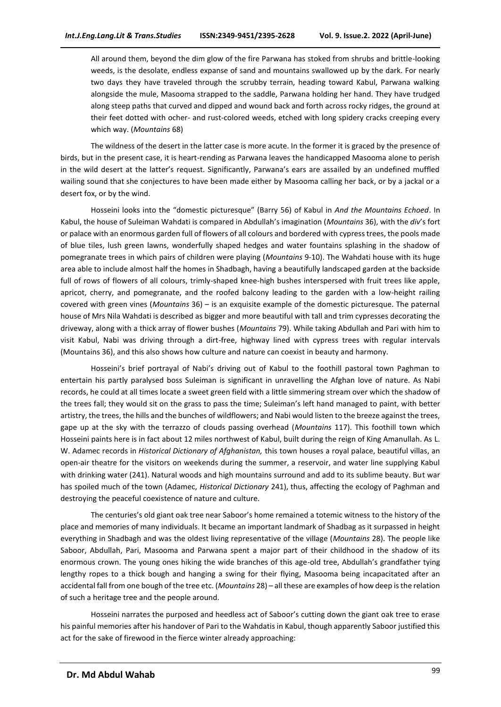All around them, beyond the dim glow of the fire Parwana has stoked from shrubs and brittle-looking weeds, is the desolate, endless expanse of sand and mountains swallowed up by the dark. For nearly two days they have traveled through the scrubby terrain, heading toward Kabul, Parwana walking alongside the mule, Masooma strapped to the saddle, Parwana holding her hand. They have trudged along steep paths that curved and dipped and wound back and forth across rocky ridges, the ground at their feet dotted with ocher- and rust-colored weeds, etched with long spidery cracks creeping every which way. (*Mountains* 68)

The wildness of the desert in the latter case is more acute. In the former it is graced by the presence of birds, but in the present case, it is heart-rending as Parwana leaves the handicapped Masooma alone to perish in the wild desert at the latter's request. Significantly, Parwana's ears are assailed by an undefined muffled wailing sound that she conjectures to have been made either by Masooma calling her back, or by a jackal or a desert fox, or by the wind.

Hosseini looks into the "domestic picturesque" (Barry 56) of Kabul in *And the Mountains Echoed*. In Kabul, the house of Suleiman Wahdati is compared in Abdullah's imagination (*Mountains* 36), with the *div*'s fort or palace with an enormous garden full of flowers of all colours and bordered with cypress trees, the pools made of blue tiles, lush green lawns, wonderfully shaped hedges and water fountains splashing in the shadow of pomegranate trees in which pairs of children were playing (*Mountains* 9-10). The Wahdati house with its huge area able to include almost half the homes in Shadbagh, having a beautifully landscaped garden at the backside full of rows of flowers of all colours, trimly-shaped knee-high bushes interspersed with fruit trees like apple, apricot, cherry, and pomegranate, and the roofed balcony leading to the garden with a low-height railing covered with green vines (*Mountains* 36) – is an exquisite example of the domestic picturesque. The paternal house of Mrs Nila Wahdati is described as bigger and more beautiful with tall and trim cypresses decorating the driveway, along with a thick array of flower bushes (*Mountains* 79). While taking Abdullah and Pari with him to visit Kabul, Nabi was driving through a dirt-free, highway lined with cypress trees with regular intervals (Mountains 36), and this also shows how culture and nature can coexist in beauty and harmony.

Hosseini's brief portrayal of Nabi's driving out of Kabul to the foothill pastoral town Paghman to entertain his partly paralysed boss Suleiman is significant in unravelling the Afghan love of nature. As Nabi records, he could at all times locate a sweet green field with a little simmering stream over which the shadow of the trees fall; they would sit on the grass to pass the time; Suleiman's left hand managed to paint, with better artistry, the trees, the hills and the bunches of wildflowers; and Nabi would listen to the breeze against the trees, gape up at the sky with the terrazzo of clouds passing overhead (*Mountains* 117). This foothill town which Hosseini paints here is in fact about 12 miles northwest of Kabul, built during the reign of King Amanullah. As L. W. Adamec records in *Historical Dictionary of Afghanistan,* this town houses a royal palace, beautiful villas, an open-air theatre for the visitors on weekends during the summer, a reservoir, and water line supplying Kabul with drinking water (241). Natural woods and high mountains surround and add to its sublime beauty. But war has spoiled much of the town (Adamec, *Historical Dictionary* 241), thus, affecting the ecology of Paghman and destroying the peaceful coexistence of nature and culture.

The centuries's old giant oak tree near Saboor's home remained a totemic witness to the history of the place and memories of many individuals. It became an important landmark of Shadbag as it surpassed in height everything in Shadbagh and was the oldest living representative of the village (*Mountains* 28). The people like Saboor, Abdullah, Pari, Masooma and Parwana spent a major part of their childhood in the shadow of its enormous crown. The young ones hiking the wide branches of this age-old tree, Abdullah's grandfather tying lengthy ropes to a thick bough and hanging a swing for their flying, Masooma being incapacitated after an accidental fall from one bough of the tree etc. (*Mountains* 28) – all these are examples of how deep is the relation of such a heritage tree and the people around.

Hosseini narrates the purposed and heedless act of Saboor's cutting down the giant oak tree to erase his painful memories after his handover of Pari to the Wahdatis in Kabul, though apparently Saboor justified this act for the sake of firewood in the fierce winter already approaching: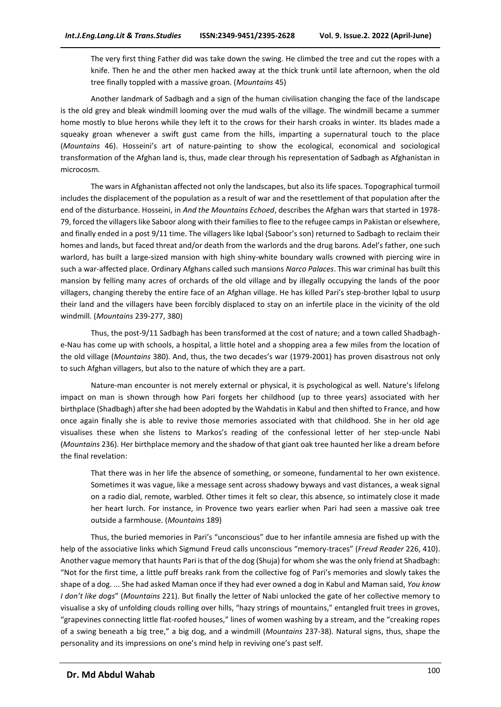The very first thing Father did was take down the swing. He climbed the tree and cut the ropes with a knife. Then he and the other men hacked away at the thick trunk until late afternoon, when the old tree finally toppled with a massive groan. (*Mountains* 45)

Another landmark of Sadbagh and a sign of the human civilisation changing the face of the landscape is the old grey and bleak windmill looming over the mud walls of the village. The windmill became a summer home mostly to blue herons while they left it to the crows for their harsh croaks in winter. Its blades made a squeaky groan whenever a swift gust came from the hills, imparting a supernatural touch to the place (*Mountains* 46). Hosseini's art of nature-painting to show the ecological, economical and sociological transformation of the Afghan land is, thus, made clear through his representation of Sadbagh as Afghanistan in microcosm.

The wars in Afghanistan affected not only the landscapes, but also its life spaces. Topographical turmoil includes the displacement of the population as a result of war and the resettlement of that population after the end of the disturbance. Hosseini, in *And the Mountains Echoed*, describes the Afghan wars that started in 1978- 79, forced the villagers like Saboor along with their families to flee to the refugee camps in Pakistan or elsewhere, and finally ended in a post 9/11 time. The villagers like Iqbal (Saboor's son) returned to Sadbagh to reclaim their homes and lands, but faced threat and/or death from the warlords and the drug barons. Adel's father, one such warlord, has built a large-sized mansion with high shiny-white boundary walls crowned with piercing wire in such a war-affected place. Ordinary Afghans called such mansions *Narco Palaces*. This war criminal has built this mansion by felling many acres of orchards of the old village and by illegally occupying the lands of the poor villagers, changing thereby the entire face of an Afghan village. He has killed Pari's step-brother Iqbal to usurp their land and the villagers have been forcibly displaced to stay on an infertile place in the vicinity of the old windmill. (*Mountains* 239-277, 380)

Thus, the post-9/11 Sadbagh has been transformed at the cost of nature; and a town called Shadbaghe-Nau has come up with schools, a hospital, a little hotel and a shopping area a few miles from the location of the old village (*Mountains* 380). And, thus, the two decades's war (1979-2001) has proven disastrous not only to such Afghan villagers, but also to the nature of which they are a part.

Nature-man encounter is not merely external or physical, it is psychological as well. Nature's lifelong impact on man is shown through how Pari forgets her childhood (up to three years) associated with her birthplace (Shadbagh) after she had been adopted by the Wahdatis in Kabul and then shifted to France, and how once again finally she is able to revive those memories associated with that childhood. She in her old age visualises these when she listens to Markos's reading of the confessional letter of her step-uncle Nabi (*Mountains* 236). Her birthplace memory and the shadow of that giant oak tree haunted her like a dream before the final revelation:

That there was in her life the absence of something, or someone, fundamental to her own existence. Sometimes it was vague, like a message sent across shadowy byways and vast distances, a weak signal on a radio dial, remote, warbled. Other times it felt so clear, this absence, so intimately close it made her heart lurch. For instance, in Provence two years earlier when Pari had seen a massive oak tree outside a farmhouse. (*Mountains* 189)

Thus, the buried memories in Pari's "unconscious" due to her infantile amnesia are fished up with the help of the associative links which Sigmund Freud calls unconscious "memory-traces" (*Freud Reader* 226, 410). Another vague memory that haunts Pari is that of the dog (Shuja) for whom she was the only friend at Shadbagh: "Not for the first time, a little puff breaks rank from the collective fog of Pari's memories and slowly takes the shape of a dog. ... She had asked Maman once if they had ever owned a dog in Kabul and Maman said, *You know I don't like dogs*" (*Mountains* 221). But finally the letter of Nabi unlocked the gate of her collective memory to visualise a sky of unfolding clouds rolling over hills, "hazy strings of mountains," entangled fruit trees in groves, "grapevines connecting little flat-roofed houses," lines of women washing by a stream, and the "creaking ropes of a swing beneath a big tree," a big dog, and a windmill (*Mountains* 237-38). Natural signs, thus, shape the personality and its impressions on one's mind help in reviving one's past self.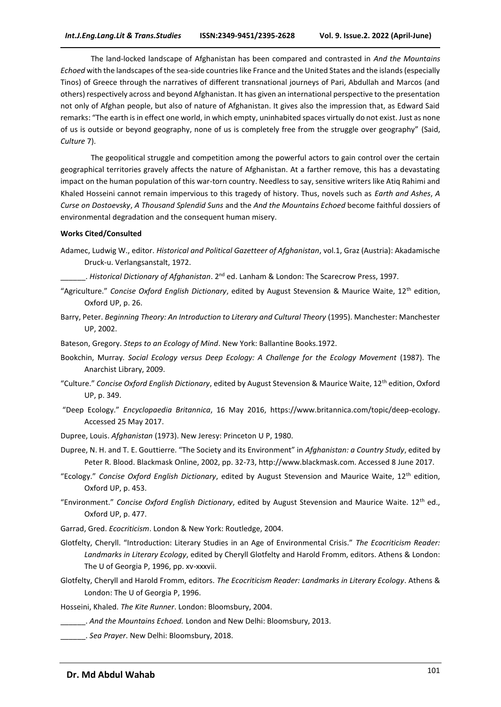The land-locked landscape of Afghanistan has been compared and contrasted in *And the Mountains Echoed* with the landscapes of the sea-side countries like France and the United States and the islands (especially Tinos) of Greece through the narratives of different transnational journeys of Pari, Abdullah and Marcos (and others) respectively across and beyond Afghanistan. It has given an international perspective to the presentation not only of Afghan people, but also of nature of Afghanistan. It gives also the impression that, as Edward Said remarks: "The earth is in effect one world, in which empty, uninhabited spaces virtually do not exist. Just as none of us is outside or beyond geography, none of us is completely free from the struggle over geography" (Said, *Culture* 7).

The geopolitical struggle and competition among the powerful actors to gain control over the certain geographical territories gravely affects the nature of Afghanistan. At a farther remove, this has a devastating impact on the human population of this war-torn country. Needless to say, sensitive writers like Atiq Rahimi and Khaled Hosseini cannot remain impervious to this tragedy of history. Thus, novels such as *Earth and Ashes*, *A Curse on Dostoevsky*, *A Thousand Splendid Suns* and the *And the Mountains Echoed* become faithful dossiers of environmental degradation and the consequent human misery.

#### **Works Cited/Consulted**

- Adamec, Ludwig W., editor. *Historical and Political Gazetteer of Afghanistan*, vol.1, Graz (Austria): Akadamische Druck-u. Verlangsanstalt, 1972.
	- \_\_\_\_\_\_. *Historical Dictionary of Afghanistan*. 2nd ed. Lanham & London: The Scarecrow Press, 1997.
- "Agriculture." *Concise Oxford English Dictionary*, edited by August Stevension & Maurice Waite, 12th edition, Oxford UP, p. 26.
- Barry, Peter. *Beginning Theory: An Introduction to Literary and Cultural Theory* (1995). Manchester: Manchester UP, 2002.
- Bateson, Gregory. *Steps to an Ecology of Mind*. New York: Ballantine Books.1972.
- Bookchin, Murray*. Social Ecology versus Deep Ecology: A Challenge for the Ecology Movement* (1987). The Anarchist Library, 2009.
- "Culture." *Concise Oxford English Dictionary*, edited by August Stevension & Maurice Waite, 12th edition, Oxford UP, p. 349.
- "Deep Ecology." *Encyclopaedia Britannica*, 16 May 2016, [https://www.britannica.com/topic/deep-ecology.](https://www.britannica.com/topic/deep-ecology) Accessed 25 May 2017.
- Dupree, Louis. *Afghanistan* (1973). New Jeresy: Princeton U P, 1980.
- Dupree, N. H. and T. E. Gouttierre. "The Society and its Environment" in *Afghanistan: a Country Study*, edited by Peter R. Blood. Blackmask Online, 2002, pp. 32-73, http://www.blackmask.com. Accessed 8 June 2017.
- "Ecology." *Concise Oxford English Dictionary*, edited by August Stevension and Maurice Waite, 12th edition, Oxford UP, p. 453.
- "Environment." *Concise Oxford English Dictionary*, edited by August Stevension and Maurice Waite. 12th ed., Oxford UP, p. 477.
- Garrad, Gred. *Ecocriticism*. London & New York: Routledge, 2004.
- Glotfelty, Cheryll. "Introduction: Literary Studies in an Age of Environmental Crisis." *The Ecocriticism Reader: Landmarks in Literary Ecology*, edited by Cheryll Glotfelty and Harold Fromm, editors. Athens & London: The U of Georgia P, 1996, pp. xv-xxxvii.
- Glotfelty, Cheryll and Harold Fromm, editors. *The Ecocriticism Reader: Landmarks in Literary Ecology*. Athens & London: The U of Georgia P, 1996.
- Hosseini, Khaled. *The Kite Runner*. London: Bloomsbury, 2004.
- \_\_\_\_\_\_. *And the Mountains Echoed.* London and New Delhi: Bloomsbury, 2013.
- \_\_\_\_\_\_. *Sea Prayer*. New Delhi: Bloomsbury, 2018.